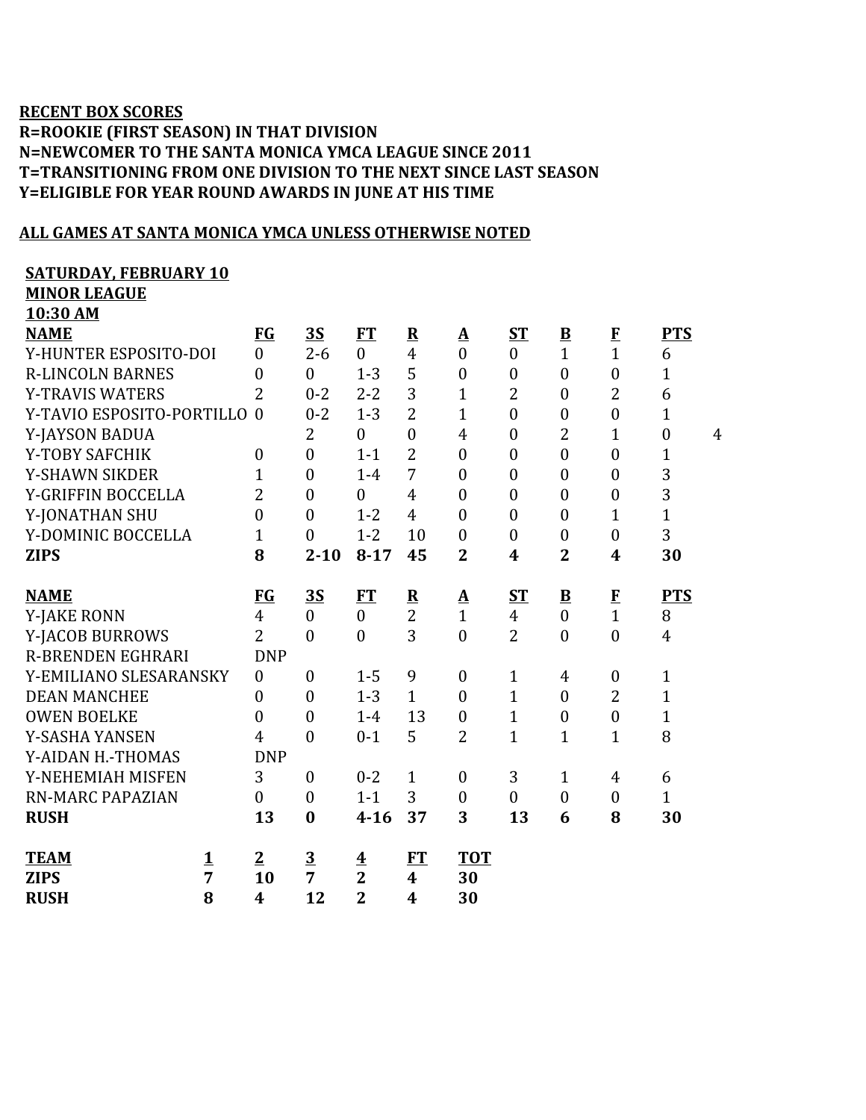## **RECENT BOX SCORES R=ROOKIE (FIRST SEASON) IN THAT DIVISION N=NEWCOMER TO THE SANTA MONICA YMCA LEAGUE SINCE 2011 T=TRANSITIONING FROM ONE DIVISION TO THE NEXT SINCE LAST SEASON Y=ELIGIBLE FOR YEAR ROUND AWARDS IN JUNE AT HIS TIME**

## **ALL GAMES AT SANTA MONICA YMCA UNLESS OTHERWISE NOTED**

## **SATURDAY, FEBRUARY 10**

**MINOR LEAGUE**

| 10:30 AM                   |                  |                  |                                           |                         |                          |                  |                          |                  |                  |                |
|----------------------------|------------------|------------------|-------------------------------------------|-------------------------|--------------------------|------------------|--------------------------|------------------|------------------|----------------|
| <b>NAME</b>                | <b>FG</b>        | <u>3S</u>        | FT                                        | $\overline{\mathbf{R}}$ | $\mathbf{\underline{A}}$ | $S_{\rm T}$      | $\underline{\mathbf{B}}$ |                  | <b>PTS</b>       |                |
| Y-HUNTER ESPOSITO-DOI      | $\overline{0}$   | $2 - 6$          | $\overline{0}$                            | $\overline{4}$          | $\overline{0}$           | $\boldsymbol{0}$ | $\overline{1}$           | $\frac{F}{1}$    | 6                |                |
| <b>R-LINCOLN BARNES</b>    | $\overline{0}$   | $\theta$         | $1 - 3$                                   | 5                       | $\boldsymbol{0}$         | $\boldsymbol{0}$ | $\mathbf{0}$             | $\boldsymbol{0}$ | $\mathbf{1}$     |                |
| <b>Y-TRAVIS WATERS</b>     | $\overline{2}$   | $0 - 2$          | $2 - 2$                                   | 3                       | $\mathbf{1}$             | $\overline{2}$   | $\mathbf{0}$             | $\overline{2}$   | 6                |                |
| Y-TAVIO ESPOSITO-PORTILLO  | $\theta$         | $0 - 2$          | $1 - 3$                                   | $\overline{2}$          | $\mathbf{1}$             | $\boldsymbol{0}$ | $\mathbf{0}$             | $\boldsymbol{0}$ | $\mathbf{1}$     |                |
| Y-JAYSON BADUA             |                  | $\overline{2}$   | $\boldsymbol{0}$                          | $\overline{0}$          | $\overline{4}$           | $\boldsymbol{0}$ | $\overline{2}$           | $\mathbf{1}$     | $\boldsymbol{0}$ | $\overline{4}$ |
| Y-TOBY SAFCHIK             | $\boldsymbol{0}$ | $\boldsymbol{0}$ | $1 - 1$                                   | $\overline{2}$          | $\boldsymbol{0}$         | $\boldsymbol{0}$ | $\mathbf{0}$             | $\boldsymbol{0}$ | $\mathbf 1$      |                |
| <b>Y-SHAWN SIKDER</b>      | 1                | $\boldsymbol{0}$ | $1-4$                                     | 7                       | $\overline{0}$           | $\boldsymbol{0}$ | $\mathbf{0}$             | $\boldsymbol{0}$ | 3                |                |
| Y-GRIFFIN BOCCELLA         | $\overline{2}$   | $\boldsymbol{0}$ | $\overline{0}$                            | $\overline{4}$          | $\boldsymbol{0}$         | $\boldsymbol{0}$ | $\mathbf{0}$             | $\boldsymbol{0}$ | 3                |                |
| Y-JONATHAN SHU             | $\overline{0}$   | $\overline{0}$   | $1 - 2$                                   | $\overline{4}$          | $\overline{0}$           | $\boldsymbol{0}$ | $\mathbf{0}$             | $\mathbf{1}$     | $\overline{1}$   |                |
| Y-DOMINIC BOCCELLA         | $\mathbf{1}$     | $\overline{0}$   | $1 - 2$                                   | 10                      | $\boldsymbol{0}$         | $\boldsymbol{0}$ | $\mathbf{0}$             | $\boldsymbol{0}$ | 3                |                |
| <b>ZIPS</b>                | 8                | $2 - 10$         | $8 - 17$                                  | 45                      | $\overline{2}$           | 4                | $\overline{2}$           | $\boldsymbol{4}$ | 30               |                |
|                            |                  |                  |                                           |                         |                          |                  |                          |                  |                  |                |
| <b>NAME</b>                | <b>FG</b>        | 3S               | <b>FT</b>                                 | $\mathbf{R}$            | <u>A</u>                 | ST               | $\underline{\mathbf{B}}$ | E                | <b>PTS</b>       |                |
| <b>Y-JAKE RONN</b>         | $\overline{4}$   | $\overline{0}$   | $\mathbf{0}$                              | $\overline{2}$          | $\mathbf{1}$             | $\overline{4}$   | $\mathbf{0}$             | $\overline{1}$   | 8                |                |
| Y-JACOB BURROWS            | $\overline{2}$   | $\overline{0}$   | $\mathbf{0}$                              | 3                       | $\overline{0}$           | $\overline{2}$   | $\mathbf{0}$             | $\mathbf{0}$     | $\overline{4}$   |                |
| <b>R-BRENDEN EGHRARI</b>   | <b>DNP</b>       |                  |                                           |                         |                          |                  |                          |                  |                  |                |
| Y-EMILIANO SLESARANSKY     | $\overline{0}$   | $\boldsymbol{0}$ | $1 - 5$                                   | 9                       | $\boldsymbol{0}$         | $\mathbf{1}$     | $\overline{4}$           | $\boldsymbol{0}$ | $\mathbf{1}$     |                |
| <b>DEAN MANCHEE</b>        | $\overline{0}$   | $\boldsymbol{0}$ | $1 - 3$                                   | $\mathbf{1}$            | $\overline{0}$           | $\mathbf{1}$     | $\mathbf{0}$             | $\overline{2}$   | $\mathbf{1}$     |                |
| <b>OWEN BOELKE</b>         | $\overline{0}$   | $\boldsymbol{0}$ | $1-4$                                     | 13                      | $\boldsymbol{0}$         | $\mathbf{1}$     | $\mathbf{0}$             | $\boldsymbol{0}$ | $\mathbf{1}$     |                |
| Y-SASHA YANSEN             | $\overline{4}$   | $\boldsymbol{0}$ | $0 - 1$                                   | 5                       | $\overline{2}$           | $\mathbf{1}$     | $\mathbf{1}$             | $\mathbf{1}$     | 8                |                |
| Y-AIDAN H.-THOMAS          | <b>DNP</b>       |                  |                                           |                         |                          |                  |                          |                  |                  |                |
| Y-NEHEMIAH MISFEN          | 3                | $\boldsymbol{0}$ | $0 - 2$                                   | $\mathbf{1}$            | $\boldsymbol{0}$         | 3                | $\mathbf{1}$             | 4                | 6                |                |
| <b>RN-MARC PAPAZIAN</b>    | $\theta$         | $\mathbf{0}$     | $1 - 1$                                   | 3                       | $\overline{0}$           | $\boldsymbol{0}$ | $\mathbf{0}$             | $\mathbf{0}$     | $\mathbf{1}$     |                |
| <b>RUSH</b>                | 13               | $\bf{0}$         | $4 - 16$                                  | 37                      | 3                        | 13               | 6                        | 8                | 30               |                |
| <b>TEAM</b><br>$\mathbf 1$ | $\overline{2}$   | $\overline{3}$   |                                           | <b>FT</b>               | <b>TOT</b>               |                  |                          |                  |                  |                |
| 7<br><b>ZIPS</b>           | 10               | $\overline{7}$   | $\overline{\textbf{4}}$<br>$\overline{2}$ | $\boldsymbol{4}$        | 30                       |                  |                          |                  |                  |                |
| 8<br><b>RUSH</b>           | $\boldsymbol{4}$ | 12               | $\overline{2}$                            | 4                       | 30                       |                  |                          |                  |                  |                |
|                            |                  |                  |                                           |                         |                          |                  |                          |                  |                  |                |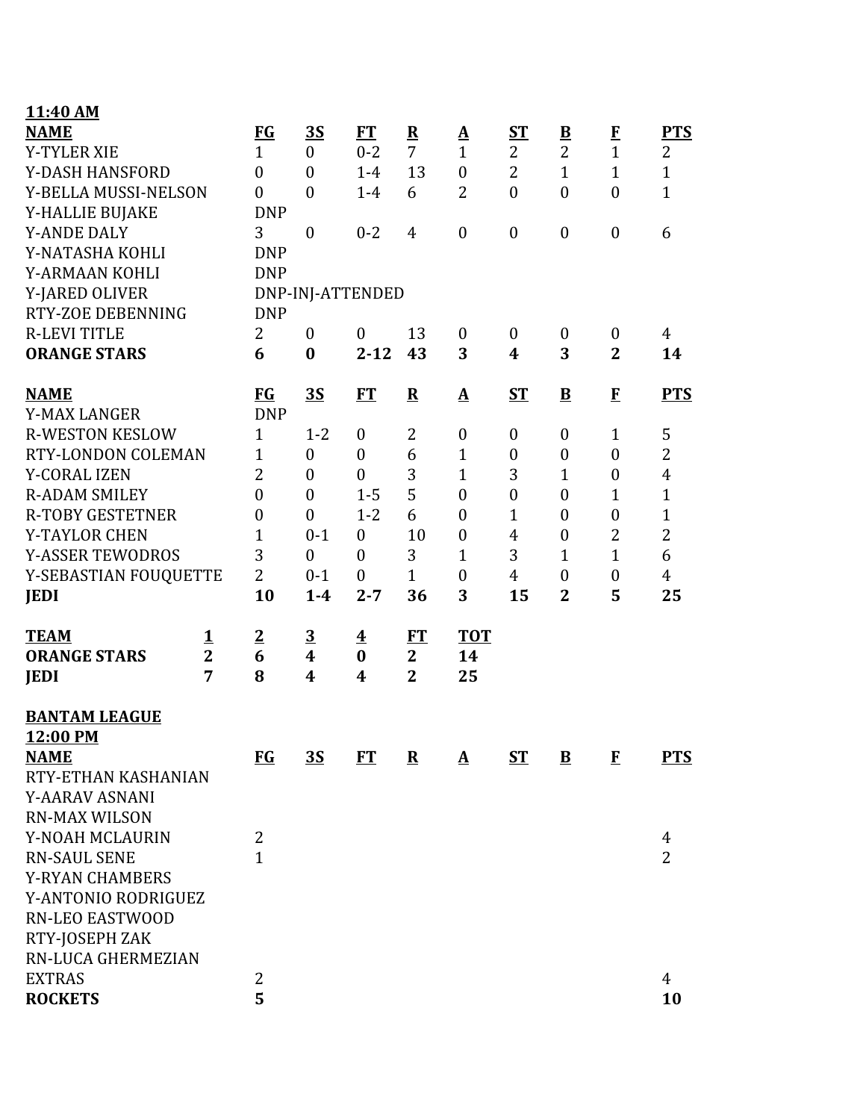| 11:40 AM                |                |                  |                  |                         |                |                          |                  |                          |                  |                |
|-------------------------|----------------|------------------|------------------|-------------------------|----------------|--------------------------|------------------|--------------------------|------------------|----------------|
| <b>NAME</b>             |                | <b>FG</b>        | 3S               | FT                      | ${\bf R}$      | $\underline{\mathbf{A}}$ | $S_{\rm T}$      | $\underline{\mathbf{B}}$ | ${\bf F}$        | <b>PTS</b>     |
| <b>Y-TYLER XIE</b>      |                | $\mathbf{1}$     | $\mathbf{0}$     | $0 - 2$                 | $\overline{7}$ | $\mathbf{1}$             | $\overline{2}$   | $\overline{2}$           | $\mathbf{1}$     | $\overline{2}$ |
| Y-DASH HANSFORD         |                | $\boldsymbol{0}$ | $\overline{0}$   | $1-4$                   | 13             | $\boldsymbol{0}$         | $\overline{2}$   | $\mathbf{1}$             | $\mathbf{1}$     | $\mathbf{1}$   |
| Y-BELLA MUSSI-NELSON    |                | $\boldsymbol{0}$ | $\overline{0}$   | $1-4$                   | 6              | $\overline{2}$           | $\boldsymbol{0}$ | $\boldsymbol{0}$         | $\boldsymbol{0}$ | $\mathbf{1}$   |
| Y-HALLIE BUJAKE         |                | <b>DNP</b>       |                  |                         |                |                          |                  |                          |                  |                |
| <b>Y-ANDE DALY</b>      |                | 3                | $\mathbf{0}$     | $0 - 2$                 | $\overline{4}$ | $\boldsymbol{0}$         | $\boldsymbol{0}$ | $\boldsymbol{0}$         | $\boldsymbol{0}$ | 6              |
| Y-NATASHA KOHLI         |                | <b>DNP</b>       |                  |                         |                |                          |                  |                          |                  |                |
| Y-ARMAAN KOHLI          |                | <b>DNP</b>       |                  |                         |                |                          |                  |                          |                  |                |
| Y-JARED OLIVER          |                |                  |                  | DNP-INJ-ATTENDED        |                |                          |                  |                          |                  |                |
| RTY-ZOE DEBENNING       |                | <b>DNP</b>       |                  |                         |                |                          |                  |                          |                  |                |
| <b>R-LEVI TITLE</b>     |                | $\overline{2}$   | $\mathbf{0}$     | $\boldsymbol{0}$        | 13             | $\boldsymbol{0}$         | $\boldsymbol{0}$ | $\boldsymbol{0}$         | $\boldsymbol{0}$ | $\overline{4}$ |
| <b>ORANGE STARS</b>     |                | 6                | $\bf{0}$         | $2 - 12$                | 43             | 3                        | $\boldsymbol{4}$ | 3                        | $\overline{2}$   | 14             |
| <b>NAME</b>             |                | $FG$             | 3S               | ET                      | ${\bf R}$      | $\Delta$                 | $ST$             | $\overline{\mathbf{B}}$  | $\mathbf{F}$     | <b>PTS</b>     |
| <b>Y-MAX LANGER</b>     |                | <b>DNP</b>       |                  |                         |                |                          |                  |                          |                  |                |
| <b>R-WESTON KESLOW</b>  |                | $\mathbf{1}$     | $1 - 2$          | $\boldsymbol{0}$        | $\overline{2}$ | $\boldsymbol{0}$         | $\boldsymbol{0}$ | $\boldsymbol{0}$         | $\mathbf{1}$     | 5              |
| RTY-LONDON COLEMAN      |                | $\mathbf{1}$     | $\boldsymbol{0}$ | $\boldsymbol{0}$        | 6              | $\mathbf{1}$             | $\boldsymbol{0}$ | $\boldsymbol{0}$         | $\mathbf{0}$     | $\overline{2}$ |
| <b>Y-CORAL IZEN</b>     |                | $\overline{2}$   | $\boldsymbol{0}$ | $\boldsymbol{0}$        | 3              | $\mathbf{1}$             | 3                | 1                        | $\boldsymbol{0}$ | $\overline{4}$ |
| <b>R-ADAM SMILEY</b>    |                | $\overline{0}$   | $\boldsymbol{0}$ | $1 - 5$                 | 5              | $\boldsymbol{0}$         | $\boldsymbol{0}$ | $\boldsymbol{0}$         | $\mathbf{1}$     | $\mathbf{1}$   |
| <b>R-TOBY GESTETNER</b> |                | $\boldsymbol{0}$ | $\overline{0}$   | $1 - 2$                 | 6              | $\boldsymbol{0}$         | $\mathbf{1}$     | $\boldsymbol{0}$         | $\boldsymbol{0}$ | $\mathbf{1}$   |
| <b>Y-TAYLOR CHEN</b>    |                | $\overline{1}$   | $0 - 1$          | $\overline{0}$          | 10             | $\boldsymbol{0}$         | 4                | $\boldsymbol{0}$         | $\overline{2}$   | $\overline{2}$ |
| <b>Y-ASSER TEWODROS</b> |                | 3                | $\overline{0}$   | $\overline{0}$          | 3              | $\mathbf{1}$             | 3                | 1                        | $\mathbf{1}$     | 6              |
| Y-SEBASTIAN FOUQUETTE   |                | $\overline{2}$   | $0 - 1$          | $\boldsymbol{0}$        | $\mathbf{1}$   | $\boldsymbol{0}$         | $\overline{4}$   | $\boldsymbol{0}$         | $\boldsymbol{0}$ | $\overline{4}$ |
| <b>JEDI</b>             |                | 10               | $1-4$            | $2 - 7$                 | 36             | 3                        | 15               | $\overline{2}$           | 5                | 25             |
| <b>TEAM</b>             | <u>1</u>       | $\overline{2}$   | <u>3</u>         | $\overline{\mathbf{4}}$ | ET             | <b>TOT</b>               |                  |                          |                  |                |
| <b>ORANGE STARS</b>     | $\overline{2}$ | 6                | 4                | $\bf{0}$                | $\mathbf{2}$   | 14                       |                  |                          |                  |                |
| <b>JEDI</b>             | 7              | 8                | 4                | 4                       | $\overline{2}$ | 25                       |                  |                          |                  |                |
| <b>BANTAM LEAGUE</b>    |                |                  |                  |                         |                |                          |                  |                          |                  |                |
| 12:00 PM                |                |                  |                  |                         |                |                          |                  |                          |                  |                |
| <b>NAME</b>             |                | <b>FG</b>        | 3S               | FT                      | ${\bf R}$      | $\mathbf{\underline{A}}$ | <b>ST</b>        | $\bf{B}$                 | $\mathbf{F}$     | <b>PTS</b>     |
| RTY-ETHAN KASHANIAN     |                |                  |                  |                         |                |                          |                  |                          |                  |                |
| Y-AARAV ASNANI          |                |                  |                  |                         |                |                          |                  |                          |                  |                |
| <b>RN-MAX WILSON</b>    |                |                  |                  |                         |                |                          |                  |                          |                  |                |
| Y-NOAH MCLAURIN         |                | 2                |                  |                         |                |                          |                  |                          |                  | 4              |
| <b>RN-SAUL SENE</b>     |                | $\overline{1}$   |                  |                         |                |                          |                  |                          |                  | $\overline{2}$ |
| <b>Y-RYAN CHAMBERS</b>  |                |                  |                  |                         |                |                          |                  |                          |                  |                |
| Y-ANTONIO RODRIGUEZ     |                |                  |                  |                         |                |                          |                  |                          |                  |                |
| <b>RN-LEO EASTWOOD</b>  |                |                  |                  |                         |                |                          |                  |                          |                  |                |
| RTY-JOSEPH ZAK          |                |                  |                  |                         |                |                          |                  |                          |                  |                |
| RN-LUCA GHERMEZIAN      |                |                  |                  |                         |                |                          |                  |                          |                  |                |
| <b>EXTRAS</b>           |                | 2                |                  |                         |                |                          |                  |                          |                  | $\overline{4}$ |
| <b>ROCKETS</b>          |                | 5                |                  |                         |                |                          |                  |                          |                  | 10             |
|                         |                |                  |                  |                         |                |                          |                  |                          |                  |                |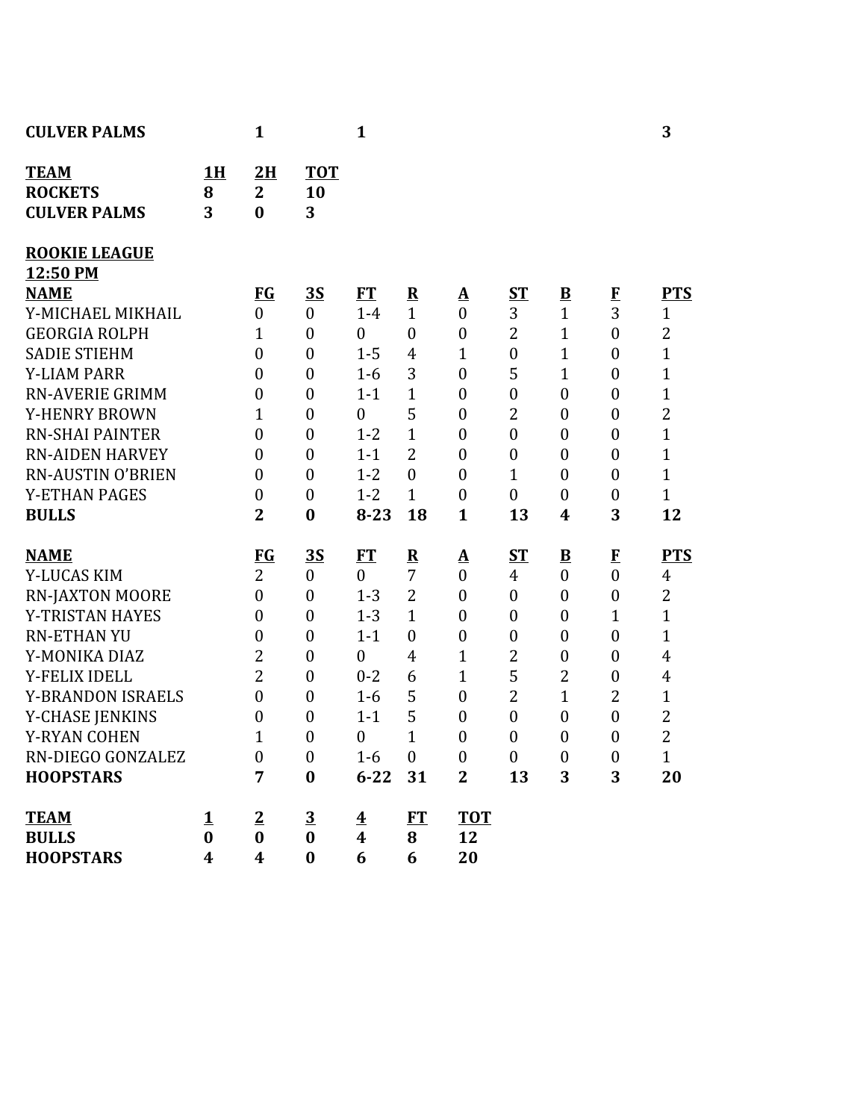| <b>CULVER PALMS</b>                                  |                      | 1                                    |                                      | $\mathbf{1}$                                |                         |                                      |                       |                                  |                                      | 3                              |
|------------------------------------------------------|----------------------|--------------------------------------|--------------------------------------|---------------------------------------------|-------------------------|--------------------------------------|-----------------------|----------------------------------|--------------------------------------|--------------------------------|
| <b>TEAM</b><br><b>ROCKETS</b><br><b>CULVER PALMS</b> | <b>1H</b><br>8<br>3  | 2H<br>$\overline{2}$<br>$\bf{0}$     | <b>TOT</b><br>10<br>3                |                                             |                         |                                      |                       |                                  |                                      |                                |
| <b>ROOKIE LEAGUE</b>                                 |                      |                                      |                                      |                                             |                         |                                      |                       |                                  |                                      |                                |
| 12:50 PM                                             |                      |                                      |                                      |                                             |                         |                                      |                       |                                  |                                      |                                |
| <b>NAME</b>                                          |                      | <u>FG</u>                            | <u>35</u>                            | ET                                          | $\overline{\mathbf{R}}$ | <u>A</u>                             | <u>ST</u>             | $\overline{\mathbf{B}}$          | $\bf{F}$<br>$\overline{3}$           | <b>PTS</b>                     |
| Y-MICHAEL MIKHAIL                                    |                      | $\overline{0}$                       | $\boldsymbol{0}$                     | $1-4$                                       | $\mathbf{1}$            | $\overline{0}$                       | 3                     | $\mathbf{1}$                     |                                      | $\mathbf{1}$                   |
| <b>GEORGIA ROLPH</b>                                 |                      | 1                                    | $\boldsymbol{0}$                     | $\mathbf{0}$                                | $\boldsymbol{0}$        | $\boldsymbol{0}$                     | $\overline{2}$        | $\mathbf{1}$                     | $\boldsymbol{0}$                     | $\overline{2}$                 |
| <b>SADIE STIEHM</b><br><b>Y-LIAM PARR</b>            |                      | $\overline{0}$                       | $\boldsymbol{0}$                     | $1 - 5$                                     | $\overline{4}$<br>3     | 1                                    | $\boldsymbol{0}$<br>5 | $\mathbf{1}$                     | $\boldsymbol{0}$                     | $\mathbf{1}$<br>$\overline{1}$ |
| <b>RN-AVERIE GRIMM</b>                               |                      | $\boldsymbol{0}$<br>$\boldsymbol{0}$ | $\boldsymbol{0}$<br>$\boldsymbol{0}$ | $1 - 6$<br>$1 - 1$                          | $\mathbf{1}$            | $\boldsymbol{0}$<br>$\boldsymbol{0}$ | $\boldsymbol{0}$      | $\mathbf{1}$<br>$\boldsymbol{0}$ | $\boldsymbol{0}$<br>$\boldsymbol{0}$ | $\mathbf{1}$                   |
| Y-HENRY BROWN                                        |                      | 1                                    | $\boldsymbol{0}$                     | $\boldsymbol{0}$                            | 5                       | $\boldsymbol{0}$                     | $\overline{2}$        | $\boldsymbol{0}$                 | $\boldsymbol{0}$                     | $\overline{c}$                 |
| <b>RN-SHAI PAINTER</b>                               |                      | $\boldsymbol{0}$                     | $\boldsymbol{0}$                     | $1 - 2$                                     | $\mathbf{1}$            | $\boldsymbol{0}$                     | $\boldsymbol{0}$      | $\boldsymbol{0}$                 | $\boldsymbol{0}$                     | $\overline{1}$                 |
| <b>RN-AIDEN HARVEY</b>                               |                      | $\boldsymbol{0}$                     | $\boldsymbol{0}$                     | $1 - 1$                                     | $\overline{2}$          | $\boldsymbol{0}$                     | $\boldsymbol{0}$      | $\boldsymbol{0}$                 | $\boldsymbol{0}$                     | $\mathbf{1}$                   |
| <b>RN-AUSTIN O'BRIEN</b>                             |                      | $\boldsymbol{0}$                     | $\boldsymbol{0}$                     | $1 - 2$                                     | $\boldsymbol{0}$        | $\mathbf{0}$                         | $\mathbf{1}$          | $\boldsymbol{0}$                 | $\boldsymbol{0}$                     | $\mathbf{1}$                   |
| <b>Y-ETHAN PAGES</b>                                 |                      | $\boldsymbol{0}$                     | $\boldsymbol{0}$                     | $1 - 2$                                     | $\mathbf{1}$            | $\boldsymbol{0}$                     | $\boldsymbol{0}$      | $\boldsymbol{0}$                 | $\boldsymbol{0}$                     | $\mathbf{1}$                   |
| <b>BULLS</b>                                         |                      | $\overline{2}$                       | $\bf{0}$                             | $8 - 23$                                    | 18                      | $\mathbf{1}$                         | 13                    | 4                                | 3                                    | 12                             |
|                                                      |                      |                                      |                                      |                                             |                         |                                      |                       |                                  |                                      |                                |
| <b>NAME</b>                                          |                      | $FG$                                 | <u>35</u>                            | <b>FT</b>                                   | $\overline{\mathbf{R}}$ | <u>A</u>                             | <b>ST</b>             | $\underline{\mathbf{B}}$         | $\mathbf{F}$                         | <b>PTS</b>                     |
| Y-LUCAS KIM                                          |                      | $\overline{2}$                       | $\boldsymbol{0}$                     | $\mathbf{0}$                                | 7                       | $\boldsymbol{0}$                     | $\overline{4}$        | $\boldsymbol{0}$                 | $\boldsymbol{0}$                     | $\overline{4}$                 |
| <b>RN-JAXTON MOORE</b>                               |                      | $\boldsymbol{0}$                     | $\boldsymbol{0}$                     | $1 - 3$                                     | $\overline{2}$          | $\boldsymbol{0}$                     | $\boldsymbol{0}$      | $\boldsymbol{0}$                 | $\boldsymbol{0}$                     | $\overline{2}$                 |
| Y-TRISTAN HAYES                                      |                      | $\boldsymbol{0}$                     | $\boldsymbol{0}$                     | $1 - 3$                                     | $\mathbf{1}$            | $\boldsymbol{0}$                     | $\boldsymbol{0}$      | $\boldsymbol{0}$                 | $\mathbf{1}$                         | $\overline{1}$                 |
| <b>RN-ETHAN YU</b>                                   |                      | $\boldsymbol{0}$                     | $\boldsymbol{0}$                     | $1 - 1$                                     | $\boldsymbol{0}$        | $\boldsymbol{0}$                     | $\boldsymbol{0}$      | $\boldsymbol{0}$                 | $\boldsymbol{0}$                     | $\mathbf{1}$                   |
| Y-MONIKA DIAZ                                        |                      | $\overline{2}$                       | $\boldsymbol{0}$                     | $\boldsymbol{0}$                            | 4                       | 1                                    | $\overline{c}$        | $\boldsymbol{0}$                 | $\boldsymbol{0}$                     | $\overline{4}$                 |
| Y-FELIX IDELL                                        |                      | $\overline{2}$                       | $\boldsymbol{0}$                     | $0 - 2$                                     | 6                       | $\mathbf 1$                          | 5                     | $\overline{2}$                   | $\boldsymbol{0}$                     | $\overline{4}$                 |
| <b>Y-BRANDON ISRAELS</b>                             |                      | $\boldsymbol{0}$                     | $\boldsymbol{0}$                     | $1 - 6$                                     | 5                       | $\boldsymbol{0}$                     | $\overline{2}$        | 1                                | 2                                    | 1                              |
| Y-CHASE JENKINS                                      |                      | $\boldsymbol{0}$                     | $\boldsymbol{0}$                     | $1 - 1$                                     | 5                       | $\boldsymbol{0}$                     | $\boldsymbol{0}$      | $\boldsymbol{0}$                 | $\boldsymbol{0}$                     | $\overline{2}$                 |
| <b>Y-RYAN COHEN</b>                                  |                      | 1                                    | $\boldsymbol{0}$                     | $\boldsymbol{0}$                            | $\mathbf{1}$            | $\boldsymbol{0}$                     | $\boldsymbol{0}$      | $\boldsymbol{0}$                 | $\boldsymbol{0}$                     | $\overline{2}$                 |
| RN-DIEGO GONZALEZ                                    |                      | $\boldsymbol{0}$                     | $\boldsymbol{0}$                     | $1-6$                                       | $\boldsymbol{0}$        | $\boldsymbol{0}$                     | $\mathbf{0}$          | $\boldsymbol{0}$                 | $\boldsymbol{0}$                     | $\mathbf{1}$                   |
| <b>HOOPSTARS</b>                                     |                      | 7                                    | $\bf{0}$                             | 6-22 31                                     |                         | $\mathbf{2}$                         | 13                    | 3                                | 3                                    | 20                             |
| <b>TEAM</b><br><b>BULLS</b>                          | <u>1</u><br>$\bf{0}$ | $\overline{2}$<br>$\bf{0}$           | $\overline{3}$<br>$\bf{0}$           | $\overline{\textbf{4}}$<br>$\boldsymbol{4}$ | ET<br>8                 | <b>TOT</b><br>12                     |                       |                                  |                                      |                                |
| <b>HOOPSTARS</b>                                     | 4                    | $\boldsymbol{4}$                     | $\boldsymbol{0}$                     | 6                                           | 6                       | 20                                   |                       |                                  |                                      |                                |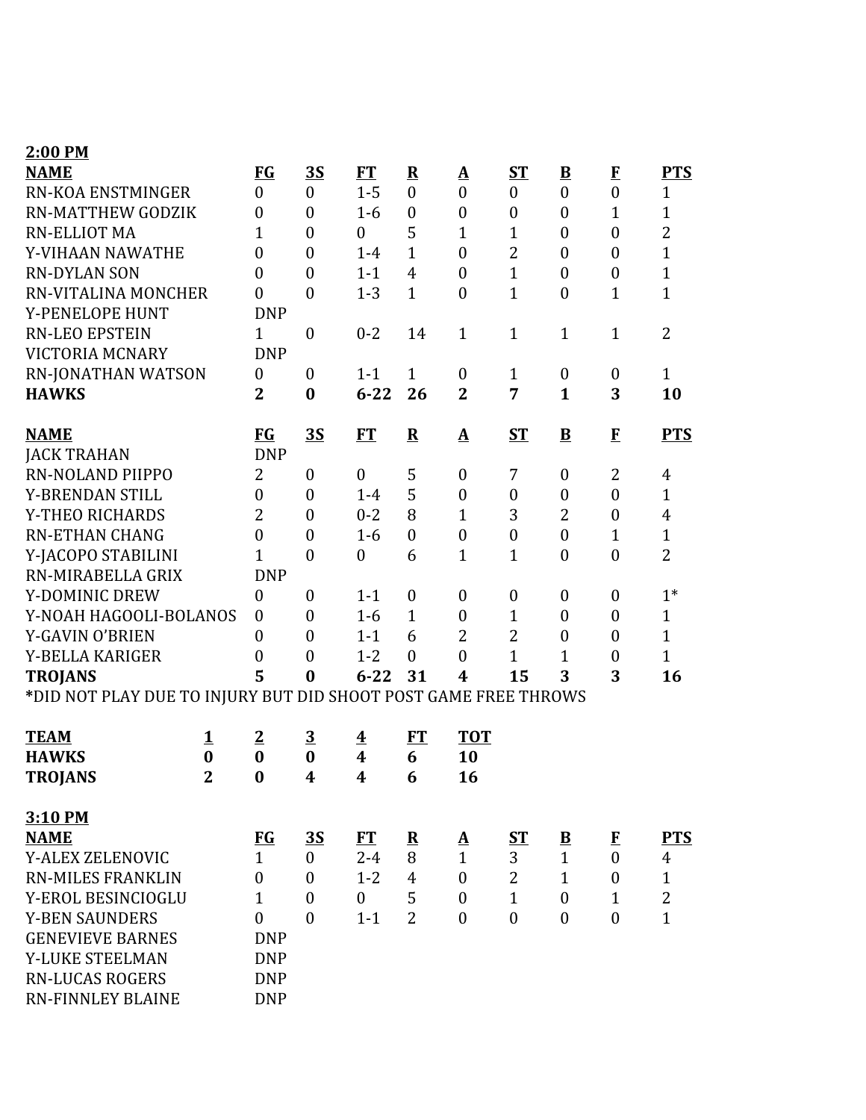| 2:00 PM                                                         |                |                  |                  |                         |                  |                   |                  |                         |                  |                |
|-----------------------------------------------------------------|----------------|------------------|------------------|-------------------------|------------------|-------------------|------------------|-------------------------|------------------|----------------|
| <b>NAME</b>                                                     |                | FG               | 3S               | FT                      | ${\bf R}$        | ${\bf A}$         | $S_{1}$          | $\overline{\mathbf{B}}$ | $\mathbf{F}$     | <b>PTS</b>     |
| <b>RN-KOA ENSTMINGER</b>                                        |                | $\boldsymbol{0}$ | $\mathbf{0}$     | $1 - 5$                 | $\boldsymbol{0}$ | $\boldsymbol{0}$  | $\boldsymbol{0}$ | $\boldsymbol{0}$        | $\boldsymbol{0}$ | $\mathbf{1}$   |
| <b>RN-MATTHEW GODZIK</b>                                        |                | $\boldsymbol{0}$ | $\overline{0}$   | $1-6$                   | $\boldsymbol{0}$ | $\boldsymbol{0}$  | $\boldsymbol{0}$ | $\boldsymbol{0}$        | $\mathbf{1}$     | $\mathbf{1}$   |
| <b>RN-ELLIOT MA</b><br>Y-VIHAAN NAWATHE                         |                | $\overline{1}$   | $\overline{0}$   | $\boldsymbol{0}$        | 5                | $\mathbf{1}$      | $\mathbf{1}$     | $\boldsymbol{0}$        | $\boldsymbol{0}$ | $\overline{2}$ |
|                                                                 |                | $\boldsymbol{0}$ | $\overline{0}$   | $1-4$                   | $\mathbf{1}$     | $\boldsymbol{0}$  | $\overline{2}$   | $\overline{0}$          | $\mathbf{0}$     | $\mathbf{1}$   |
| <b>RN-DYLAN SON</b>                                             |                | $\boldsymbol{0}$ | $\mathbf{0}$     | $1 - 1$                 | $\overline{4}$   | $\boldsymbol{0}$  | $\mathbf{1}$     | $\boldsymbol{0}$        | $\boldsymbol{0}$ | $\mathbf{1}$   |
| RN-VITALINA MONCHER                                             |                | $\boldsymbol{0}$ | $\overline{0}$   | $1 - 3$                 | $\mathbf{1}$     | $\overline{0}$    | $\mathbf{1}$     | $\boldsymbol{0}$        | $\mathbf{1}$     | $\mathbf{1}$   |
| Y-PENELOPE HUNT                                                 |                | <b>DNP</b>       |                  |                         |                  |                   |                  |                         |                  |                |
| <b>RN-LEO EPSTEIN</b>                                           |                | $\mathbf{1}$     | $\boldsymbol{0}$ | $0 - 2$                 | 14               | $\mathbf{1}$      | $\mathbf{1}$     | $\mathbf{1}$            | $\mathbf{1}$     | $\overline{2}$ |
| VICTORIA MCNARY                                                 |                | <b>DNP</b>       |                  |                         |                  |                   |                  |                         |                  |                |
| <b>RN-JONATHAN WATSON</b>                                       |                | $\boldsymbol{0}$ | $\mathbf{0}$     | $1 - 1$                 | $\mathbf{1}$     | $\boldsymbol{0}$  | $\mathbf{1}$     | $\boldsymbol{0}$        | $\boldsymbol{0}$ | $\mathbf{1}$   |
| <b>HAWKS</b>                                                    |                | $\mathbf{2}$     | $\bf{0}$         | $6 - 22$                | 26               | $\mathbf{2}$      | 7                | $\mathbf{1}$            | 3                | 10             |
| <b>NAME</b>                                                     |                | <b>FG</b>        | <u>35</u>        | FT                      | ${\bf R}$        | $\mathbf{\Delta}$ | ST               | ${\bf B}$               | $\mathbf{F}$     | <b>PTS</b>     |
| <b>JACK TRAHAN</b>                                              |                | <b>DNP</b>       |                  |                         |                  |                   |                  |                         |                  |                |
| <b>RN-NOLAND PIIPPO</b>                                         |                | $\overline{2}$   | $\boldsymbol{0}$ | $\overline{0}$          | 5                | $\boldsymbol{0}$  | 7                | $\boldsymbol{0}$        | 2                | 4              |
| Y-BRENDAN STILL                                                 |                | $\overline{0}$   | $\boldsymbol{0}$ | $1 - 4$                 | 5                | $\boldsymbol{0}$  | $\boldsymbol{0}$ | $\boldsymbol{0}$        | $\overline{0}$   | $\mathbf{1}$   |
| Y-THEO RICHARDS                                                 |                | $\overline{2}$   | $\mathbf{0}$     | $0 - 2$                 | 8                | 1                 | 3                | $\overline{2}$          | $\boldsymbol{0}$ | $\overline{4}$ |
| <b>RN-ETHAN CHANG</b>                                           |                | $\mathbf{0}$     | $\overline{0}$   | $1-6$                   | $\boldsymbol{0}$ | $\boldsymbol{0}$  | $\boldsymbol{0}$ | $\boldsymbol{0}$        | $\mathbf{1}$     | $\mathbf{1}$   |
| Y-JACOPO STABILINI                                              |                | $\overline{1}$   | $\overline{0}$   | $\boldsymbol{0}$        | 6                | $\mathbf{1}$      | $\mathbf{1}$     | $\overline{0}$          | $\overline{0}$   | $\overline{2}$ |
| RN-MIRABELLA GRIX                                               |                | <b>DNP</b>       |                  |                         |                  |                   |                  |                         |                  |                |
| Y-DOMINIC DREW                                                  |                | $\boldsymbol{0}$ | $\overline{0}$   | $1 - 1$                 | $\boldsymbol{0}$ | $\boldsymbol{0}$  | $\boldsymbol{0}$ | $\boldsymbol{0}$        | $\boldsymbol{0}$ | $1*$           |
| Y-NOAH HAGOOLI-BOLANOS                                          |                | $\boldsymbol{0}$ | $\mathbf{0}$     | $1-6$                   | $\mathbf{1}$     | $\boldsymbol{0}$  | $\mathbf{1}$     | $\overline{0}$          | $\boldsymbol{0}$ | $\mathbf{1}$   |
| Y-GAVIN O'BRIEN                                                 |                | $\boldsymbol{0}$ | $\overline{0}$   | $1 - 1$                 | 6                | $\overline{2}$    | $\overline{2}$   | $\boldsymbol{0}$        | $\boldsymbol{0}$ | $\mathbf{1}$   |
| Y-BELLA KARIGER                                                 |                | $\boldsymbol{0}$ | $\overline{0}$   | $1 - 2$                 | $\mathbf{0}$     | $\overline{0}$    | $\mathbf{1}$     | $\mathbf{1}$            | $\boldsymbol{0}$ | $\mathbf{1}$   |
| <b>TROJANS</b>                                                  |                | 5                | $\bf{0}$         | $6 - 22$                | 31               | 4                 | 15               | 3                       | 3                | 16             |
| *DID NOT PLAY DUE TO INJURY BUT DID SHOOT POST GAME FREE THROWS |                |                  |                  |                         |                  |                   |                  |                         |                  |                |
| <b>TEAM</b>                                                     | 1              | $\overline{2}$   | $\overline{3}$   | $\overline{\mathbf{4}}$ | FT               | <b>TOT</b>        |                  |                         |                  |                |
| <b>HAWKS</b>                                                    | $\bf{0}$       | $\bf{0}$         | $\bf{0}$         | $\overline{\mathbf{4}}$ | 6                | 10                |                  |                         |                  |                |
| <b>TROJANS</b>                                                  | $\overline{2}$ | $\bf{0}$         | $\boldsymbol{4}$ | 4                       | 6                | 16                |                  |                         |                  |                |
| 3:10 PM                                                         |                |                  |                  |                         |                  |                   |                  |                         |                  |                |
| <b>NAME</b>                                                     |                | $FG$             | 3S               | <b>FT</b>               | $\mathbf R$      | <u>A</u>          | $S_{\mathbf{T}}$ | $\overline{\mathbf{B}}$ | $\mathbf{F}$     | <b>PTS</b>     |
| <b>Y-ALEX ZELENOVIC</b>                                         |                | 1                | $\boldsymbol{0}$ | $2 - 4$                 | 8                | $\mathbf{1}$      | 3                | $\mathbf{1}$            | $\boldsymbol{0}$ | $\overline{4}$ |
| <b>RN-MILES FRANKLIN</b>                                        |                | $\boldsymbol{0}$ | $\mathbf{0}$     | $1 - 2$                 | $\overline{4}$   | $\overline{0}$    | $\overline{2}$   | $\mathbf{1}$            | $\overline{0}$   | $\mathbf{1}$   |
| Y-EROL BESINCIOGLU                                              |                | $\mathbf{1}$     | $\boldsymbol{0}$ | $\overline{0}$          | 5                | $\boldsymbol{0}$  | $\mathbf{1}$     | $\overline{0}$          | $\mathbf{1}$     | $\overline{2}$ |
| <b>Y-BEN SAUNDERS</b>                                           |                | $\mathbf{0}$     | $\theta$         | $1 - 1$                 | $\overline{2}$   | $\boldsymbol{0}$  | $\boldsymbol{0}$ | $\boldsymbol{0}$        | $\boldsymbol{0}$ | $\mathbf{1}$   |
| <b>GENEVIEVE BARNES</b>                                         |                | <b>DNP</b>       |                  |                         |                  |                   |                  |                         |                  |                |
| Y-LUKE STEELMAN                                                 |                | <b>DNP</b>       |                  |                         |                  |                   |                  |                         |                  |                |
| <b>RN-LUCAS ROGERS</b>                                          |                | <b>DNP</b>       |                  |                         |                  |                   |                  |                         |                  |                |
| <b>RN-FINNLEY BLAINE</b>                                        |                | <b>DNP</b>       |                  |                         |                  |                   |                  |                         |                  |                |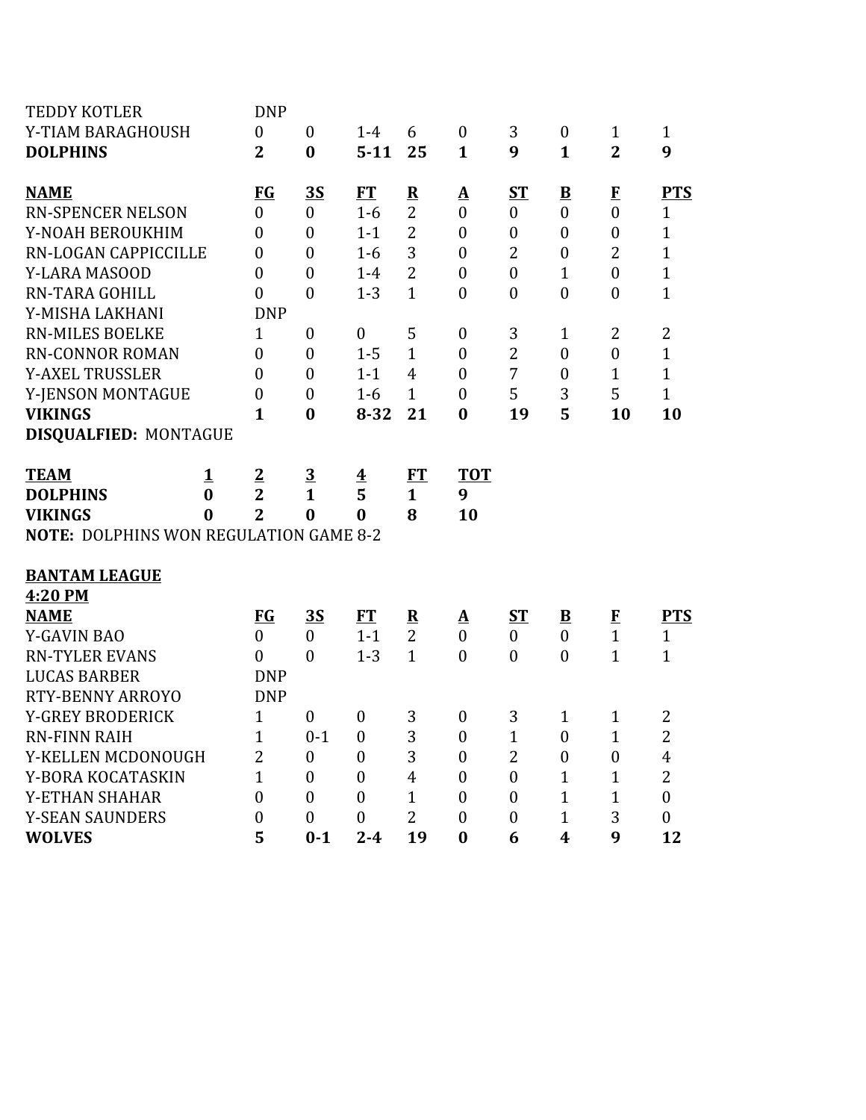| <b>TEDDY KOTLER</b>                           |             | <b>DNP</b>       |                  |                         |                         |                          |                  |                         |                  |                |
|-----------------------------------------------|-------------|------------------|------------------|-------------------------|-------------------------|--------------------------|------------------|-------------------------|------------------|----------------|
| Y-TIAM BARAGHOUSH                             |             | $\boldsymbol{0}$ | $\boldsymbol{0}$ | $1 - 4$                 | 6                       | $\boldsymbol{0}$         | 3                | $\boldsymbol{0}$        | $\mathbf{1}$     | $\mathbf{1}$   |
| <b>DOLPHINS</b>                               |             | $\overline{2}$   | $\bf{0}$         | $5 - 11$                | 25                      | $\mathbf{1}$             | 9                | $\mathbf{1}$            | $\overline{2}$   | 9              |
| <b>NAME</b>                                   |             | <b>FG</b>        | <u>35</u>        | ET                      | $\overline{\mathbf{R}}$ | <u>A</u>                 | $S_{\rm T}$      | $\overline{\mathbf{B}}$ | $\bf{F}$         | <b>PTS</b>     |
| <b>RN-SPENCER NELSON</b>                      |             | $\overline{0}$   | $\mathbf{0}$     | $1-6$                   | $\overline{2}$          | $\overline{0}$           | $\overline{0}$   | $\boldsymbol{0}$        | $\overline{0}$   | $\mathbf{1}$   |
| Y-NOAH BEROUKHIM                              |             | $\boldsymbol{0}$ | $\mathbf{0}$     | $1 - 1$                 | $\overline{2}$          | $\mathbf{0}$             | $\boldsymbol{0}$ | $\boldsymbol{0}$        | $\overline{0}$   | $\mathbf{1}$   |
| RN-LOGAN CAPPICCILLE                          |             | $\boldsymbol{0}$ | $\boldsymbol{0}$ | $1-6$                   | 3                       | $\boldsymbol{0}$         | $\overline{2}$   | $\boldsymbol{0}$        | $\overline{2}$   | $\mathbf{1}$   |
| Y-LARA MASOOD                                 |             | $\boldsymbol{0}$ | $\overline{0}$   | $1-4$                   | $\overline{2}$          | $\boldsymbol{0}$         | $\boldsymbol{0}$ | $\mathbf{1}$            | $\overline{0}$   | $\mathbf{1}$   |
| RN-TARA GOHILL                                |             | $\overline{0}$   | $\mathbf{0}$     | $1 - 3$                 | $\mathbf{1}$            | $\mathbf{0}$             | $\boldsymbol{0}$ | $\boldsymbol{0}$        | $\mathbf{0}$     | $\mathbf{1}$   |
| Y-MISHA LAKHANI                               |             | <b>DNP</b>       |                  |                         |                         |                          |                  |                         |                  |                |
| <b>RN-MILES BOELKE</b>                        |             | $\mathbf{1}$     | $\boldsymbol{0}$ | $\boldsymbol{0}$        | 5                       | $\boldsymbol{0}$         | 3                | 1                       | 2                | $\overline{2}$ |
| <b>RN-CONNOR ROMAN</b>                        |             | $\boldsymbol{0}$ | $\boldsymbol{0}$ | $1 - 5$                 | $\mathbf{1}$            | $\boldsymbol{0}$         | $\overline{2}$   | $\boldsymbol{0}$        | $\boldsymbol{0}$ | $\mathbf{1}$   |
| <b>Y-AXEL TRUSSLER</b>                        |             | $\overline{0}$   | $\mathbf{0}$     | $1 - 1$                 | $\overline{4}$          | $\boldsymbol{0}$         | 7                | $\boldsymbol{0}$        | 1                | $\mathbf{1}$   |
| Y-JENSON MONTAGUE                             |             | $\boldsymbol{0}$ | $\boldsymbol{0}$ | $1-6$                   | $\mathbf{1}$            | $\mathbf{0}$             | 5                | 3                       | 5                | $\mathbf{1}$   |
| <b>VIKINGS</b>                                |             | $\mathbf{1}$     | $\bf{0}$         | $8 - 32$                | 21                      | $\bf{0}$                 | 19               | 5                       | 10               | 10             |
| <b>DISQUALFIED: MONTAGUE</b>                  |             |                  |                  |                         |                         |                          |                  |                         |                  |                |
| <b>TEAM</b>                                   | $\mathbf 1$ | $\overline{2}$   | $\overline{3}$   | $\overline{\mathbf{4}}$ | <u>FT</u>               | <b>TOT</b>               |                  |                         |                  |                |
| <b>DOLPHINS</b>                               | $\bf{0}$    | $\overline{2}$   | $\mathbf{1}$     | 5                       | $\mathbf{1}$            | 9                        |                  |                         |                  |                |
| <b>VIKINGS</b>                                | 0           | $\overline{2}$   | $\bf{0}$         | $\bf{0}$                | 8                       | 10                       |                  |                         |                  |                |
| <b>NOTE: DOLPHINS WON REGULATION GAME 8-2</b> |             |                  |                  |                         |                         |                          |                  |                         |                  |                |
| <b>BANTAM LEAGUE</b>                          |             |                  |                  |                         |                         |                          |                  |                         |                  |                |
| 4:20 PM                                       |             |                  |                  |                         |                         |                          |                  |                         |                  |                |
| <b>NAME</b>                                   |             | <u>FG</u>        | <u>35</u>        | ET                      | $\overline{\mathbf{R}}$ | $\mathbf{\underline{A}}$ | <u>ST</u>        | $\overline{\mathbf{B}}$ | $\bf{F}$         | <b>PTS</b>     |
| <b>Y-GAVIN BAO</b>                            |             | $\overline{0}$   | $\boldsymbol{0}$ | $1 - 1$                 | $\overline{2}$          | $\boldsymbol{0}$         | $\mathbf{0}$     | $\boldsymbol{0}$        | $\mathbf{1}$     | $\mathbf{1}$   |
| <b>RN-TYLER EVANS</b>                         |             | $\boldsymbol{0}$ | $\mathbf{0}$     | $1 - 3$                 | $\mathbf{1}$            | $\mathbf{0}$             | $\boldsymbol{0}$ | $\boldsymbol{0}$        | $\mathbf{1}$     | $\mathbf{1}$   |
| <b>LUCAS BARBER</b>                           |             | <b>DNP</b>       |                  |                         |                         |                          |                  |                         |                  |                |
| RTY-BENNY ARROYO                              |             | <b>DNP</b>       |                  |                         |                         |                          |                  |                         |                  |                |
| <b>Y-GREY BRODERICK</b>                       |             | $\mathbf{1}$     | $\boldsymbol{0}$ | $\boldsymbol{0}$        | 3                       | $\boldsymbol{0}$         | 3                | $\mathbf{1}$            | $\mathbf{1}$     | 2              |
| <b>RN-FINN RAIH</b>                           |             | $\mathbf{1}$     | $0 - 1$          | $\boldsymbol{0}$        | 3                       | $\mathbf{0}$             | 1                | $\mathbf{0}$            | $\mathbf{1}$     | $\overline{2}$ |
| Y-KELLEN MCDONOUGH                            |             | $\overline{2}$   | $\boldsymbol{0}$ | $\boldsymbol{0}$        | 3                       | $\boldsymbol{0}$         | $\overline{2}$   | $\boldsymbol{0}$        | $\boldsymbol{0}$ | 4              |
| Y-BORA KOCATASKIN                             |             | $\overline{1}$   | $\mathbf{0}$     | $\mathbf{0}$            | $\overline{4}$          | $\mathbf{0}$             | $\overline{0}$   | $\mathbf{1}$            | 1                | $\overline{2}$ |
| Y-ETHAN SHAHAR                                |             | $\overline{0}$   | $\mathbf{0}$     | $\boldsymbol{0}$        | $\mathbf{1}$            | $\mathbf{0}$             | $\mathbf{0}$     | $\mathbf{1}$            | 1                | $\overline{0}$ |
| <b>Y-SEAN SAUNDERS</b>                        |             | 0                | $\boldsymbol{0}$ | $\mathbf{0}$            | $\overline{2}$          | $\theta$                 | $\boldsymbol{0}$ | 1                       | 3                | $\mathbf{0}$   |
| <b>WOLVES</b>                                 |             | 5                | $0 - 1$          | $2 - 4$                 | 19                      | $\bf{0}$                 | 6                | 4                       | 9                | 12             |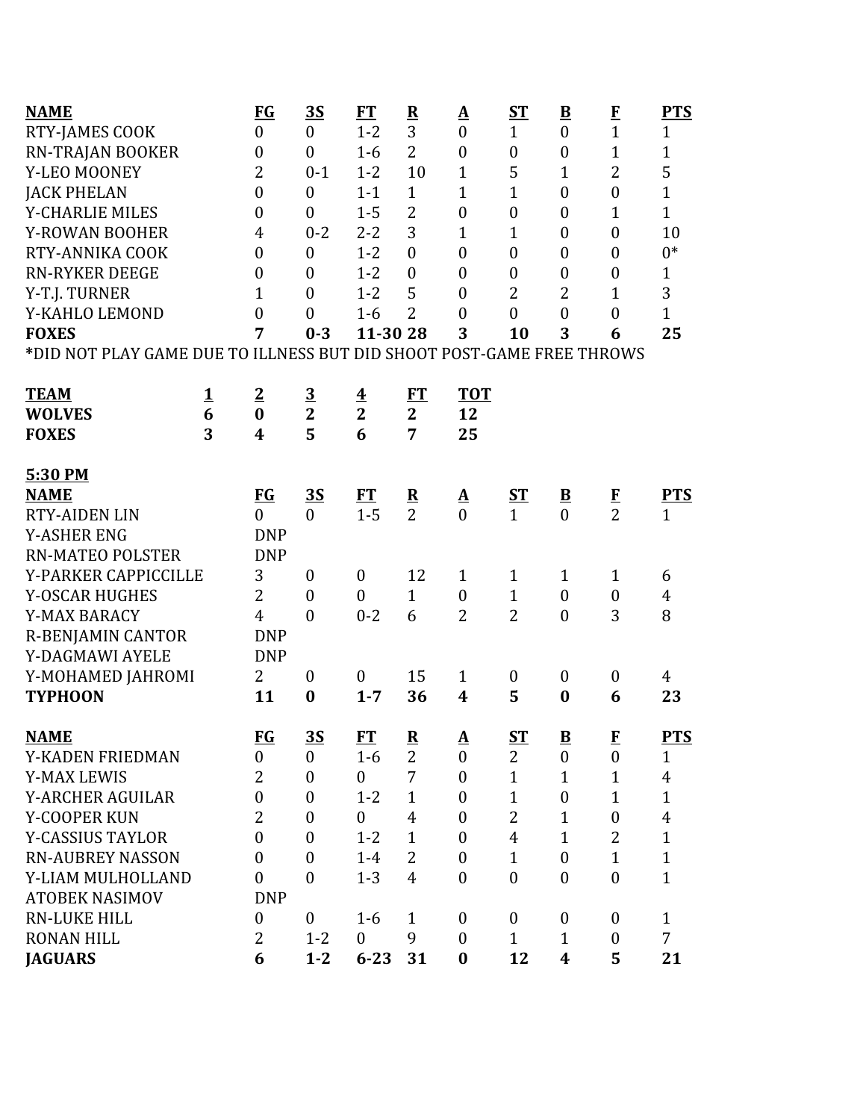| <b>NAME</b>                                                           |          | $FG$             | <u>35</u>        | <b>FT</b>               | $\overline{\mathbf{R}}$  | <u>A</u>                 | $S_{\rm T}$      | $\underline{\mathbf{B}}$ | $\bf{F}$         | <b>PTS</b>     |
|-----------------------------------------------------------------------|----------|------------------|------------------|-------------------------|--------------------------|--------------------------|------------------|--------------------------|------------------|----------------|
| RTY-JAMES COOK                                                        |          | $\boldsymbol{0}$ | $\boldsymbol{0}$ | $1 - 2$                 | 3                        | $\boldsymbol{0}$         | $\mathbf{1}$     | $\boldsymbol{0}$         | $\mathbf{1}$     | $\mathbf{1}$   |
| <b>RN-TRAJAN BOOKER</b>                                               |          | $\boldsymbol{0}$ | $\boldsymbol{0}$ | $1-6$                   | $\overline{2}$           | $\boldsymbol{0}$         | $\boldsymbol{0}$ | $\boldsymbol{0}$         | $\mathbf{1}$     | $\mathbf{1}$   |
| Y-LEO MOONEY                                                          |          | $\overline{2}$   | $0 - 1$          | $1 - 2$                 | 10                       | $\mathbf{1}$             | 5                | 1                        | $\overline{2}$   | 5              |
| <b>JACK PHELAN</b>                                                    |          | $\boldsymbol{0}$ | $\boldsymbol{0}$ | $1 - 1$                 | $\mathbf{1}$             | $\mathbf{1}$             | $\mathbf{1}$     | $\boldsymbol{0}$         | $\mathbf{0}$     | $\mathbf{1}$   |
| <b>Y-CHARLIE MILES</b>                                                |          | $\boldsymbol{0}$ | $\overline{0}$   | $1 - 5$                 | $\overline{2}$           | $\boldsymbol{0}$         | $\boldsymbol{0}$ | $\boldsymbol{0}$         | $\mathbf{1}$     | $\mathbf{1}$   |
| Y-ROWAN BOOHER                                                        |          | $\overline{4}$   | $0 - 2$          | $2 - 2$                 | 3                        | $\mathbf{1}$             | $\mathbf{1}$     | $\boldsymbol{0}$         | $\boldsymbol{0}$ | 10             |
| RTY-ANNIKA COOK                                                       |          | $\boldsymbol{0}$ | $\boldsymbol{0}$ | $1 - 2$                 | $\mathbf{0}$             | $\boldsymbol{0}$         | $\boldsymbol{0}$ | $\boldsymbol{0}$         | $\boldsymbol{0}$ | $0*$           |
| <b>RN-RYKER DEEGE</b>                                                 |          | $\boldsymbol{0}$ | $\boldsymbol{0}$ | $1 - 2$                 | $\overline{0}$           | $\boldsymbol{0}$         | $\boldsymbol{0}$ | $\boldsymbol{0}$         | $\boldsymbol{0}$ | $\mathbf{1}$   |
| Y-T.J. TURNER                                                         |          | $\mathbf{1}$     | $\overline{0}$   | $1 - 2$                 | 5                        | $\boldsymbol{0}$         | $\overline{2}$   | $\overline{2}$           | $\mathbf{1}$     | 3              |
| Y-KAHLO LEMOND                                                        |          | $\boldsymbol{0}$ | $\overline{0}$   | $1-6$                   | $\overline{2}$           | $\boldsymbol{0}$         | $\mathbf{0}$     | $\overline{0}$           | $\boldsymbol{0}$ | $\mathbf{1}$   |
| <b>FOXES</b>                                                          |          | 7                | $0 - 3$          | 11-30 28                |                          | 3                        | 10               | 3                        | 6                | 25             |
| *DID NOT PLAY GAME DUE TO ILLNESS BUT DID SHOOT POST-GAME FREE THROWS |          |                  |                  |                         |                          |                          |                  |                          |                  |                |
| <b>TEAM</b>                                                           | <u>1</u> | $\overline{2}$   | $\overline{3}$   | $\overline{\mathbf{4}}$ | FT                       | <b>TOT</b>               |                  |                          |                  |                |
| <b>WOLVES</b>                                                         | 6        | $\bf{0}$         | $\overline{2}$   | $\overline{2}$          | $\overline{2}$           | 12                       |                  |                          |                  |                |
| <b>FOXES</b>                                                          | 3        | 4                | 5                | 6                       | 7                        | 25                       |                  |                          |                  |                |
|                                                                       |          |                  |                  |                         |                          |                          |                  |                          |                  |                |
| 5:30 PM                                                               |          |                  |                  |                         |                          |                          |                  |                          |                  |                |
| <b>NAME</b>                                                           |          | $FG$             | <u>35</u>        | ET                      | $\overline{\mathbf{R}}$  | $\underline{\mathbf{A}}$ | <u>ST</u>        | $\overline{\mathbf{B}}$  | $\frac{F}{2}$    | <b>PTS</b>     |
| <b>RTY-AIDEN LIN</b>                                                  |          | $\theta$         | $\boldsymbol{0}$ | $1 - 5$                 | $\overline{2}$           | $\theta$                 | $\mathbf{1}$     | $\overline{0}$           |                  | $\mathbf{1}$   |
| <b>Y-ASHER ENG</b>                                                    |          | <b>DNP</b>       |                  |                         |                          |                          |                  |                          |                  |                |
| <b>RN-MATEO POLSTER</b>                                               |          | <b>DNP</b>       |                  |                         |                          |                          |                  |                          |                  |                |
| Y-PARKER CAPPICCILLE                                                  |          | 3                | $\boldsymbol{0}$ | $\boldsymbol{0}$        | 12                       | $\mathbf{1}$             | $\mathbf{1}$     | $\mathbf{1}$             | $\mathbf{1}$     | 6              |
| Y-OSCAR HUGHES                                                        |          | $\overline{2}$   | $\boldsymbol{0}$ | $\mathbf{0}$            | $\mathbf{1}$             | $\boldsymbol{0}$         | $\mathbf{1}$     | $\boldsymbol{0}$         | $\boldsymbol{0}$ | 4              |
| Y-MAX BARACY                                                          |          | $\overline{4}$   | $\mathbf{0}$     | $0 - 2$                 | 6                        | $\overline{2}$           | $\overline{2}$   | $\boldsymbol{0}$         | 3                | 8              |
| <b>R-BENJAMIN CANTOR</b>                                              |          | <b>DNP</b>       |                  |                         |                          |                          |                  |                          |                  |                |
| Y-DAGMAWI AYELE                                                       |          | <b>DNP</b>       |                  |                         |                          |                          |                  |                          |                  |                |
| Y-MOHAMED JAHROMI                                                     |          | $\overline{2}$   | $\boldsymbol{0}$ | $\boldsymbol{0}$        | 15                       | $\mathbf{1}$             | $\boldsymbol{0}$ | $\boldsymbol{0}$         | $\boldsymbol{0}$ | 4              |
| <b>TYPHOON</b>                                                        |          | 11               | $\bf{0}$         | $1 - 7$                 | 36                       | $\boldsymbol{4}$         | 5                | $\bf{0}$                 | 6                | 23             |
| <b>NAME</b>                                                           |          | $FG$             | <u>35</u>        | FT                      | $\underline{\mathbf{R}}$ | $\underline{\mathbf{A}}$ | $ST$             | $\underline{\mathbf{B}}$ | $\mathbf{F}$     | <b>PTS</b>     |
| Y-KADEN FRIEDMAN                                                      |          | $\boldsymbol{0}$ | $\overline{0}$   | $1-6$                   | $\overline{2}$           | $\boldsymbol{0}$         | $\overline{2}$   | $\boldsymbol{0}$         | $\boldsymbol{0}$ | $\mathbf{1}$   |
| <b>Y-MAX LEWIS</b>                                                    |          | 2                | $\boldsymbol{0}$ | $\mathbf{0}$            | 7                        | $\boldsymbol{0}$         | $\mathbf{1}$     | $\mathbf{1}$             | $\mathbf{1}$     | $\overline{4}$ |
| Y-ARCHER AGUILAR                                                      |          | $\boldsymbol{0}$ | $\boldsymbol{0}$ | $1 - 2$                 | $\mathbf{1}$             | $\boldsymbol{0}$         | $\mathbf{1}$     | $\boldsymbol{0}$         | $\mathbf{1}$     | $\mathbf{1}$   |
| Y-COOPER KUN                                                          |          | $\overline{2}$   | $\overline{0}$   | $\theta$                | $\overline{4}$           | $\boldsymbol{0}$         | $\overline{2}$   | $\mathbf{1}$             | $\boldsymbol{0}$ | $\overline{4}$ |
| <b>Y-CASSIUS TAYLOR</b>                                               |          | $\boldsymbol{0}$ | $\boldsymbol{0}$ | $1 - 2$                 | $\mathbf{1}$             | $\boldsymbol{0}$         | $\overline{4}$   | $\mathbf{1}$             | $\overline{2}$   | $\mathbf{1}$   |
| <b>RN-AUBREY NASSON</b>                                               |          | $\mathbf{0}$     | $\boldsymbol{0}$ | $1 - 4$                 | $\overline{2}$           | $\boldsymbol{0}$         | $\mathbf{1}$     | $\boldsymbol{0}$         | $\mathbf{1}$     | $\mathbf{1}$   |
| Y-LIAM MULHOLLAND                                                     |          | $\overline{0}$   | $\overline{0}$   | $1 - 3$                 | $\overline{4}$           | $\boldsymbol{0}$         | $\boldsymbol{0}$ | $\boldsymbol{0}$         | $\mathbf{0}$     | $\mathbf{1}$   |
| <b>ATOBEK NASIMOV</b>                                                 |          | <b>DNP</b>       |                  |                         |                          |                          |                  |                          |                  |                |
| <b>RN-LUKE HILL</b>                                                   |          | $\boldsymbol{0}$ | $\boldsymbol{0}$ | $1 - 6$                 | $\mathbf{1}$             | $\boldsymbol{0}$         | $\mathbf{0}$     | $\boldsymbol{0}$         | $\mathbf{0}$     | $\mathbf{1}$   |
| <b>RONAN HILL</b>                                                     |          | $\overline{2}$   | $1 - 2$          | $\mathbf{0}$            | 9                        | $\mathbf{0}$             | $\mathbf{1}$     | $\mathbf{1}$             | $\boldsymbol{0}$ | $\overline{7}$ |
| <b>JAGUARS</b>                                                        |          | 6                | $1 - 2$          | $6 - 23$                | 31                       | $\bf{0}$                 | 12               | $\boldsymbol{4}$         | 5                | 21             |